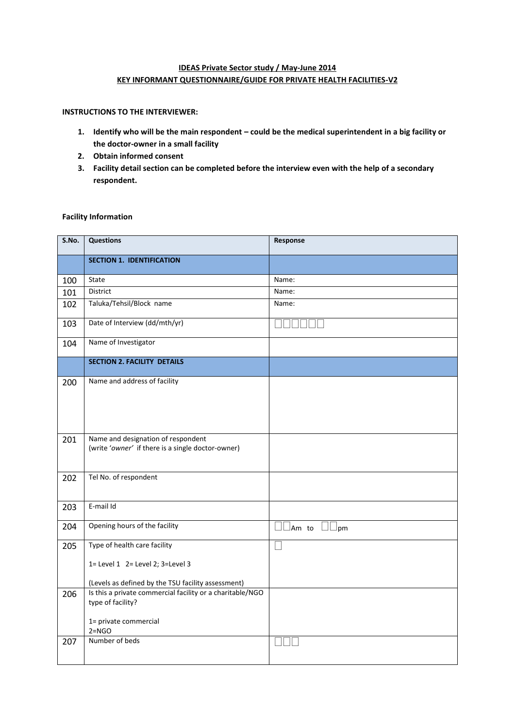# **IDEAS Private Sector study / May-June 2014 KEY INFORMANT QUESTIONNAIRE/GUIDE FOR PRIVATE HEALTH FACILITIES-V2**

### **INSTRUCTIONS TO THE INTERVIEWER:**

- **1. Identify who will be the main respondent – could be the medical superintendent in a big facility or the doctor-owner in a small facility**
- **2. Obtain informed consent**
- **3. Facility detail section can be completed before the interview even with the help of a secondary respondent.**

## **Facility Information**

| S.No. | <b>Questions</b>                                                                        | Response                       |
|-------|-----------------------------------------------------------------------------------------|--------------------------------|
|       | <b>SECTION 1. IDENTIFICATION</b>                                                        |                                |
| 100   | State                                                                                   | Name:                          |
| 101   | District                                                                                | Name:                          |
| 102   | Taluka/Tehsil/Block name                                                                | Name:                          |
| 103   | Date of Interview (dd/mth/yr)                                                           |                                |
| 104   | Name of Investigator                                                                    |                                |
|       | <b>SECTION 2. FACILITY DETAILS</b>                                                      |                                |
| 200   | Name and address of facility                                                            |                                |
| 201   | Name and designation of respondent<br>(write 'owner' if there is a single doctor-owner) |                                |
| 202   | Tel No. of respondent                                                                   |                                |
| 203   | E-mail Id                                                                               |                                |
| 204   | Opening hours of the facility                                                           | $\Box\Box$ Am to $\Box\Box$ pm |
| 205   | Type of health care facility                                                            |                                |
|       | 1= Level 1 2= Level 2; 3=Level 3                                                        |                                |
|       | (Levels as defined by the TSU facility assessment)                                      |                                |
| 206   | Is this a private commercial facility or a charitable/NGO<br>type of facility?          |                                |
|       | 1= private commercial<br>$2 = NGO$                                                      |                                |
| 207   | Number of beds                                                                          |                                |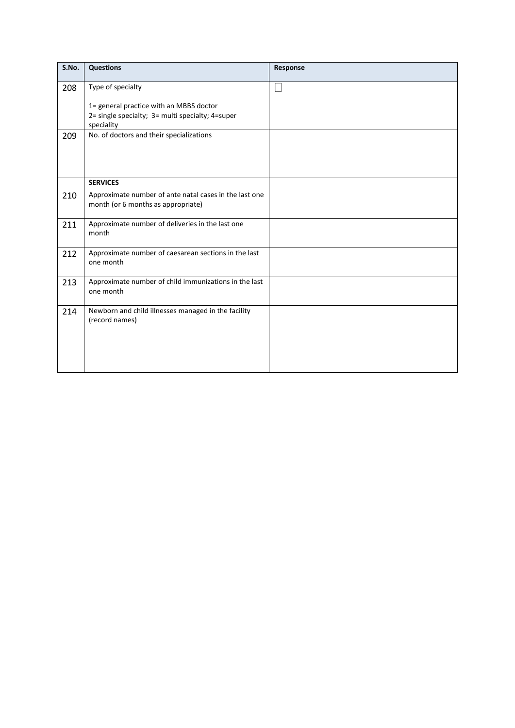| S.No. | <b>Questions</b>                                                                             | Response |
|-------|----------------------------------------------------------------------------------------------|----------|
| 208   | Type of specialty                                                                            |          |
|       | 1= general practice with an MBBS doctor                                                      |          |
|       | 2= single specialty; 3= multi specialty; 4=super<br>speciality                               |          |
| 209   | No. of doctors and their specializations                                                     |          |
|       |                                                                                              |          |
|       |                                                                                              |          |
|       | <b>SERVICES</b>                                                                              |          |
| 210   | Approximate number of ante natal cases in the last one<br>month (or 6 months as appropriate) |          |
| 211   | Approximate number of deliveries in the last one<br>month                                    |          |
| 212   | Approximate number of caesarean sections in the last<br>one month                            |          |
| 213   | Approximate number of child immunizations in the last<br>one month                           |          |
| 214   | Newborn and child illnesses managed in the facility<br>(record names)                        |          |
|       |                                                                                              |          |
|       |                                                                                              |          |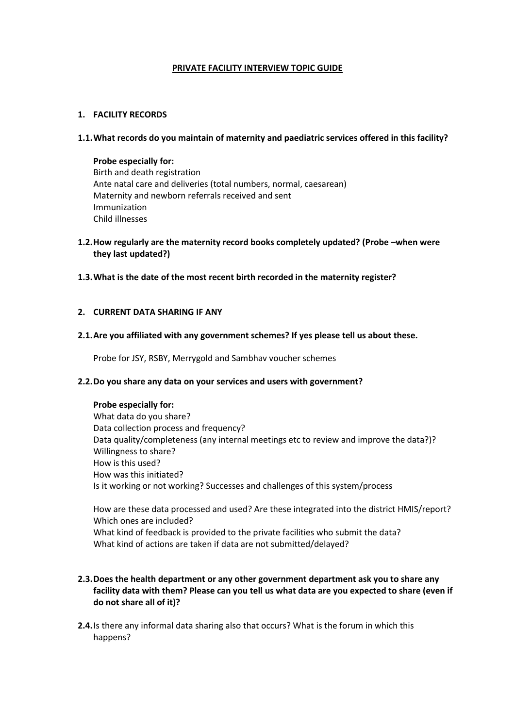# **PRIVATE FACILITY INTERVIEW TOPIC GUIDE**

# **1. FACILITY RECORDS**

# **1.1.What records do you maintain of maternity and paediatric services offered in this facility?**

# **Probe especially for:**

Birth and death registration Ante natal care and deliveries (total numbers, normal, caesarean) Maternity and newborn referrals received and sent Immunization Child illnesses

- **1.2.How regularly are the maternity record books completely updated? (Probe –when were they last updated?)**
- **1.3.What is the date of the most recent birth recorded in the maternity register?**

# **2. CURRENT DATA SHARING IF ANY**

# **2.1.Are you affiliated with any government schemes? If yes please tell us about these.**

Probe for JSY, RSBY, Merrygold and Sambhav voucher schemes

# **2.2.Do you share any data on your services and users with government?**

# **Probe especially for:**

What data do you share? Data collection process and frequency? Data quality/completeness (any internal meetings etc to review and improve the data?)? Willingness to share? How is this used? How was this initiated? Is it working or not working? Successes and challenges of this system/process

How are these data processed and used? Are these integrated into the district HMIS/report? Which ones are included? What kind of feedback is provided to the private facilities who submit the data? What kind of actions are taken if data are not submitted/delayed?

# **2.3.Does the health department or any other government department ask you to share any facility data with them? Please can you tell us what data are you expected to share (even if do not share all of it)?**

**2.4.**Is there any informal data sharing also that occurs? What is the forum in which this happens?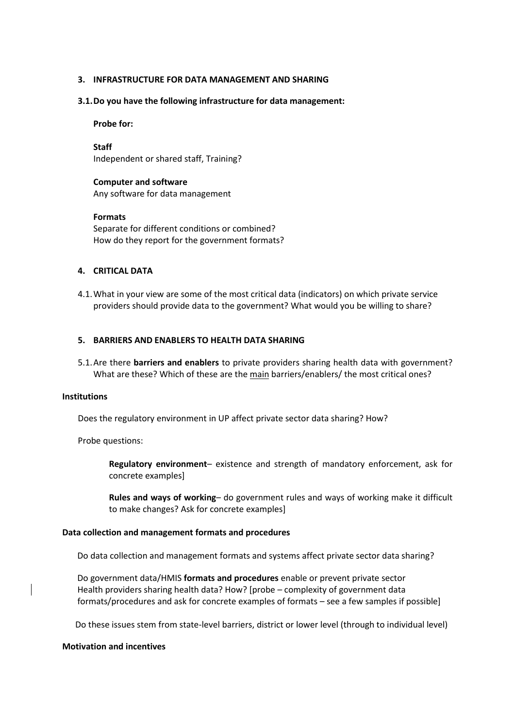## **3. INFRASTRUCTURE FOR DATA MANAGEMENT AND SHARING**

#### **3.1.Do you have the following infrastructure for data management:**

#### **Probe for:**

**Staff** Independent or shared staff, Training?

# **Computer and software**

Any software for data management

## **Formats**

Separate for different conditions or combined? How do they report for the government formats?

# **4. CRITICAL DATA**

4.1.What in your view are some of the most critical data (indicators) on which private service providers should provide data to the government? What would you be willing to share?

# **5. BARRIERS AND ENABLERS TO HEALTH DATA SHARING**

5.1.Are there **barriers and enablers** to private providers sharing health data with government? What are these? Which of these are the main barriers/enablers/ the most critical ones?

## **Institutions**

Does the regulatory environment in UP affect private sector data sharing? How?

Probe questions:

**Regulatory environment**– existence and strength of mandatory enforcement, ask for concrete examples]

**Rules and ways of working**– do government rules and ways of working make it difficult to make changes? Ask for concrete examples]

#### **Data collection and management formats and procedures**

Do data collection and management formats and systems affect private sector data sharing?

 Do government data/HMIS **formats and procedures** enable or prevent private sector Health providers sharing health data? How? [probe – complexity of government data formats/procedures and ask for concrete examples of formats – see a few samples if possible]

Do these issues stem from state-level barriers, district or lower level (through to individual level)

#### **Motivation and incentives**